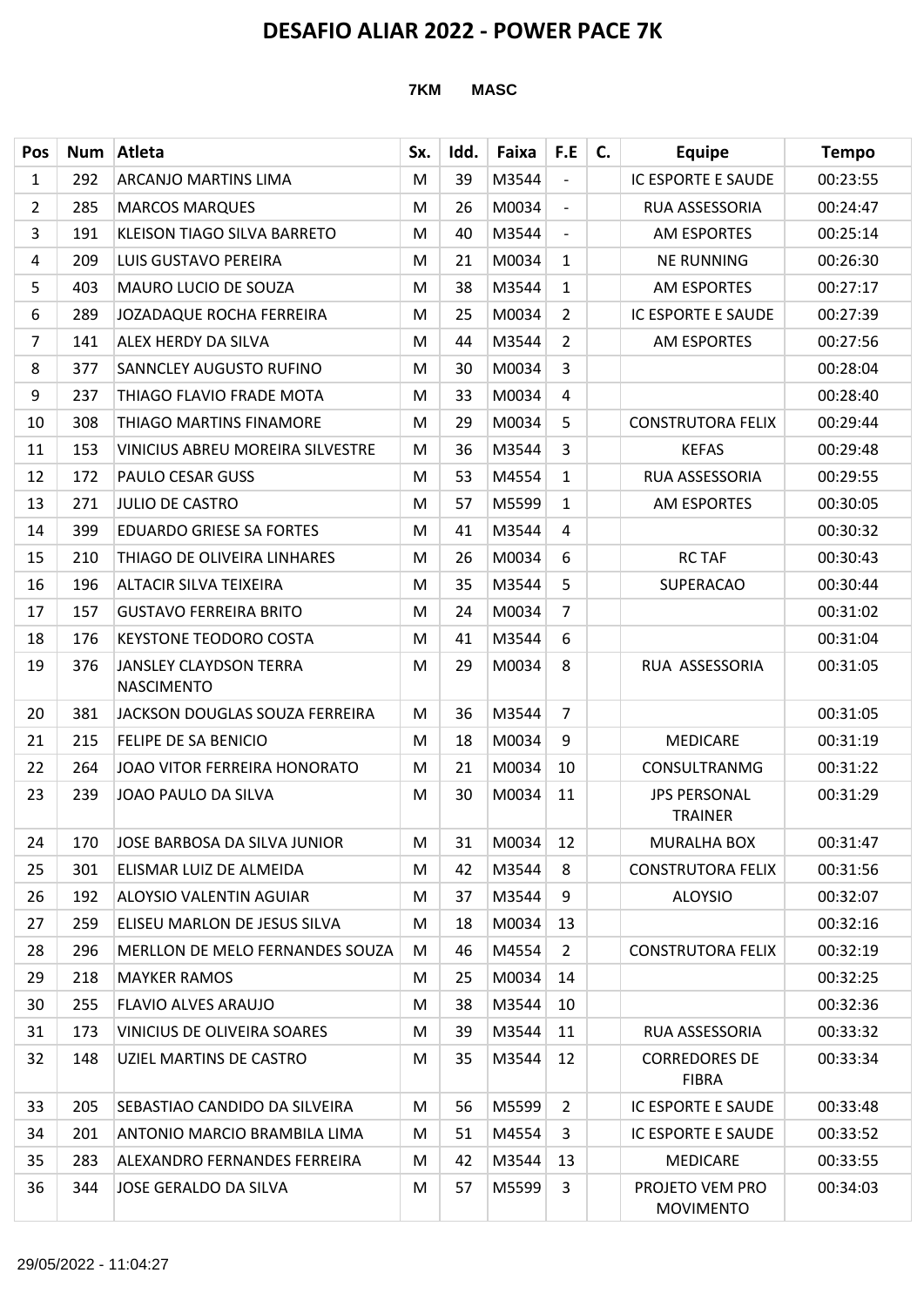| Pos            | <b>Num</b> | Atleta                                             | Sx. | Idd. | Faixa | F.E                      | C. | <b>Equipe</b>                         | <b>Tempo</b> |
|----------------|------------|----------------------------------------------------|-----|------|-------|--------------------------|----|---------------------------------------|--------------|
| $\mathbf{1}$   | 292        | <b>ARCANJO MARTINS LIMA</b>                        | M   | 39   | M3544 | $\overline{\phantom{0}}$ |    | IC ESPORTE E SAUDE                    | 00:23:55     |
| $\overline{2}$ | 285        | <b>MARCOS MARQUES</b>                              | M   | 26   | M0034 | $\blacksquare$           |    | RUA ASSESSORIA                        | 00:24:47     |
| 3              | 191        | KLEISON TIAGO SILVA BARRETO                        | M   | 40   | M3544 | $\overline{\phantom{a}}$ |    | <b>AM ESPORTES</b>                    | 00:25:14     |
| 4              | 209        | LUIS GUSTAVO PEREIRA                               | M   | 21   | M0034 | $\mathbf{1}$             |    | <b>NE RUNNING</b>                     | 00:26:30     |
| 5              | 403        | <b>MAURO LUCIO DE SOUZA</b>                        | M   | 38   | M3544 | $\mathbf{1}$             |    | <b>AM ESPORTES</b>                    | 00:27:17     |
| 6              | 289        | <b>JOZADAQUE ROCHA FERREIRA</b>                    | M   | 25   | M0034 | $\overline{2}$           |    | IC ESPORTE E SAUDE                    | 00:27:39     |
| $\overline{7}$ | 141        | ALEX HERDY DA SILVA                                | M   | 44   | M3544 | $\overline{2}$           |    | <b>AM ESPORTES</b>                    | 00:27:56     |
| 8              | 377        | SANNCLEY AUGUSTO RUFINO                            | M   | 30   | M0034 | $\overline{3}$           |    |                                       | 00:28:04     |
| 9              | 237        | THIAGO FLAVIO FRADE MOTA                           | M   | 33   | M0034 | 4                        |    |                                       | 00:28:40     |
| 10             | 308        | THIAGO MARTINS FINAMORE                            | M   | 29   | M0034 | 5                        |    | <b>CONSTRUTORA FELIX</b>              | 00:29:44     |
| 11             | 153        | <b>VINICIUS ABREU MOREIRA SILVESTRE</b>            | M   | 36   | M3544 | 3                        |    | <b>KEFAS</b>                          | 00:29:48     |
| 12             | 172        | <b>PAULO CESAR GUSS</b>                            | M   | 53   | M4554 | $\mathbf{1}$             |    | RUA ASSESSORIA                        | 00:29:55     |
| 13             | 271        | <b>JULIO DE CASTRO</b>                             | M   | 57   | M5599 | $\mathbf{1}$             |    | AM ESPORTES                           | 00:30:05     |
| 14             | 399        | <b>EDUARDO GRIESE SA FORTES</b>                    | M   | 41   | M3544 | 4                        |    |                                       | 00:30:32     |
| 15             | 210        | THIAGO DE OLIVEIRA LINHARES                        | M   | 26   | M0034 | 6                        |    | <b>RC TAF</b>                         | 00:30:43     |
| 16             | 196        | <b>ALTACIR SILVA TEIXEIRA</b>                      | M   | 35   | M3544 | 5                        |    | <b>SUPERACAO</b>                      | 00:30:44     |
| 17             | 157        | <b>GUSTAVO FERREIRA BRITO</b>                      | M   | 24   | M0034 | $\overline{7}$           |    |                                       | 00:31:02     |
| 18             | 176        | <b>KEYSTONE TEODORO COSTA</b>                      | M   | 41   | M3544 | 6                        |    |                                       | 00:31:04     |
| 19             | 376        | <b>JANSLEY CLAYDSON TERRA</b><br><b>NASCIMENTO</b> | M   | 29   | M0034 | 8                        |    | RUA ASSESSORIA                        | 00:31:05     |
| 20             | 381        | JACKSON DOUGLAS SOUZA FERREIRA                     | M   | 36   | M3544 | $\overline{7}$           |    |                                       | 00:31:05     |
| 21             | 215        | <b>FELIPE DE SA BENICIO</b>                        | M   | 18   | M0034 | 9                        |    | <b>MEDICARE</b>                       | 00:31:19     |
| 22             | 264        | JOAO VITOR FERREIRA HONORATO                       | M   | 21   | M0034 | 10                       |    | <b>CONSULTRANMG</b>                   | 00:31:22     |
| 23             | 239        | JOAO PAULO DA SILVA                                | M   | 30   | M0034 | 11                       |    | <b>JPS PERSONAL</b><br><b>TRAINER</b> | 00:31:29     |
| 24             | 170        | JOSE BARBOSA DA SILVA JUNIOR                       | M   | 31   | M0034 | 12                       |    | <b>MURALHA BOX</b>                    | 00:31:47     |
| 25             | 301        | ELISMAR LUIZ DE ALMEIDA                            | M   | 42   | M3544 | 8                        |    | <b>CONSTRUTORA FELIX</b>              | 00:31:56     |
| 26             | 192        | <b>ALOYSIO VALENTIN AGUIAR</b>                     | M   | 37   | M3544 | 9                        |    | <b>ALOYSIO</b>                        | 00:32:07     |
| 27             | 259        | ELISEU MARLON DE JESUS SILVA                       | M   | 18   | M0034 | 13                       |    |                                       | 00:32:16     |
| 28             | 296        | MERLLON DE MELO FERNANDES SOUZA                    | M   | 46   | M4554 | $\overline{2}$           |    | <b>CONSTRUTORA FELIX</b>              | 00:32:19     |
| 29             | 218        | <b>MAYKER RAMOS</b>                                | M   | 25   | M0034 | 14                       |    |                                       | 00:32:25     |
| 30             | 255        | <b>FLAVIO ALVES ARAUJO</b>                         | M   | 38   | M3544 | 10                       |    |                                       | 00:32:36     |
| 31             | 173        | VINICIUS DE OLIVEIRA SOARES                        | M   | 39   | M3544 | 11                       |    | RUA ASSESSORIA                        | 00:33:32     |
| 32             | 148        | UZIEL MARTINS DE CASTRO                            | M   | 35   | M3544 | 12                       |    | <b>CORREDORES DE</b><br><b>FIBRA</b>  | 00:33:34     |
| 33             | 205        | SEBASTIAO CANDIDO DA SILVEIRA                      | M   | 56   | M5599 | $\overline{2}$           |    | IC ESPORTE E SAUDE                    | 00:33:48     |
| 34             | 201        | ANTONIO MARCIO BRAMBILA LIMA                       | M   | 51   | M4554 | 3                        |    | IC ESPORTE E SAUDE                    | 00:33:52     |
| 35             | 283        | ALEXANDRO FERNANDES FERREIRA                       | M   | 42   | M3544 | 13                       |    | <b>MEDICARE</b>                       | 00:33:55     |
| 36             | 344        | JOSE GERALDO DA SILVA                              | M   | 57   | M5599 | 3                        |    | PROJETO VEM PRO<br><b>MOVIMENTO</b>   | 00:34:03     |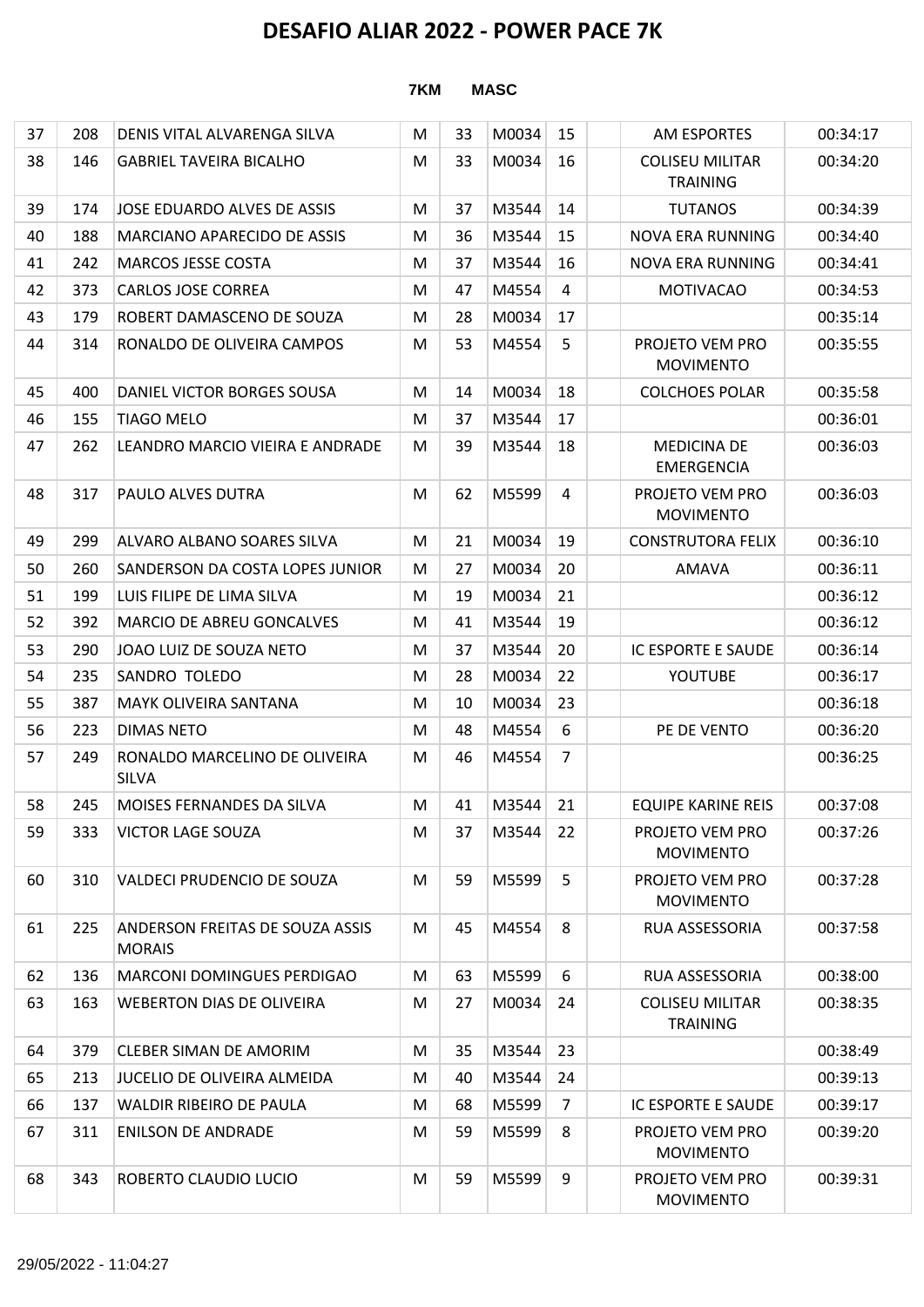### $37$  208 DENIS VITAL ALVARENGA SILVA M  $\mid$  M  $\mid$  33 M0034 15  $\mid$  AM ESPORTES 00:34:17 38 146 GABRIEL TAVEIRA BICALHO M 33 M0034 16 COLISEU MILITAR TRAINING 00:34:20 39 174 JOSE EDUARDO ALVES DE ASSIS M 37 M3544 14 TUTANOS 00:34:39 40 | 188 | MARCIANO APARECIDO DE ASSIS | M | 36 | M3544 | 15 | NOVA ERA RUNNING | 00:34:40 41 242 MARCOS JESSE COSTA M 37 M3544 16 NOVA ERA RUNNING 00:34:41 42 373 CARLOS JOSE CORREA M 47 M4554 4 MOTIVACAO 00:34:53 43 179 ROBERT DAMASCENO DE SOUZA M 28 M0034 17 00:35:14 44 314 RONALDO DE OLIVEIRA CAMPOS M 53 M4554 5 PROJETO VEM PRO MOVIMENTO 00:35:55 45 400 DANIEL VICTOR BORGES SOUSA M 14 M0034 18 COLCHOES POLAR 00:35:58 46 155 TIAGO MELO M 37 M3544 17 00:36:01 47 262 LEANDRO MARCIO VIEIRA E ANDRADE M 39 M3544 18 MEDICINA DE EMERGENCIA 00:36:03 48 317 PAULO ALVES DUTRA M 62 M5599 4 PROJETO VEM PRO MOVIMENTO 00:36:03 49 299 ALVARO ALBANO SOARES SILVA M 21 M0034 19 CONSTRUTORA FELIX 00:36:10 50 260 SANDERSON DA COSTA LOPES JUNIOR M 27 M0034 20 AMAVA 00:36:11 51 199 LUIS FILIPE DE LIMA SILVA M 19 M0034 21 00:36:12 52 392 MARCIO DE ABREU GONCALVES M 41 M3544 19 00:36:12 53 290 JOAO LUIZ DE SOUZA NETO M 37 M3544 20 IC ESPORTE E SAUDE 00:36:14 54 235 SANDRO TOLEDO M 28 M0034 22 YOUTUBE 00:36:17 55 387 MAYK OLIVEIRA SANTANA M 10 M0034 23 00:36:18 56 223 DIMAS NETO M 48 M4554 6 PE DE VENTO 00:36:20 57 249 RONALDO MARCELINO DE OLIVEIRA SILVA M 46 M4554 7 | 00:36:25 58 245 MOISES FERNANDES DA SILVA M 41 M3544 21 EQUIPE KARINE REIS 00:37:08 59 333 VICTOR LAGE SOUZA M 37 M3544 22 PROJETO VEM PRO MOVIMENTO 00:37:26 60 310 VALDECI PRUDENCIO DE SOUZA M 59 M5599 5 PROJETO VEM PRO MOVIMENTO 00:37:28 61 225 ANDERSON FREITAS DE SOUZA ASSIS **MORAIS** M 45 M4554 8 RUA ASSESSORIA 00:37:58 62 136 MARCONI DOMINGUES PERDIGAO M 63 M5599 6 RUA ASSESSORIA 00:38:00 63 163 WEBERTON DIAS DE OLIVEIRA M 27 M0034 24 COLISEU MILITAR TRAINING 00:38:35 64 379 CLEBER SIMAN DE AMORIM M 35 M3544 23 00:38:49 65 213 JUCELIO DE OLIVEIRA ALMEIDA M 40 M3544 24 00:39:13 66 137 WALDIR RIBEIRO DE PAULA M 68 M5599 7 IC ESPORTE E SAUDE 00:39:17 67 311 ENILSON DE ANDRADE M 59 M5599 8 PROJETO VEM PRO MOVIMENTO 00:39:20 68 343 ROBERTO CLAUDIO LUCIO M 59 M5599 9 PROJETO VEM PRO MOVIMENTO 00:39:31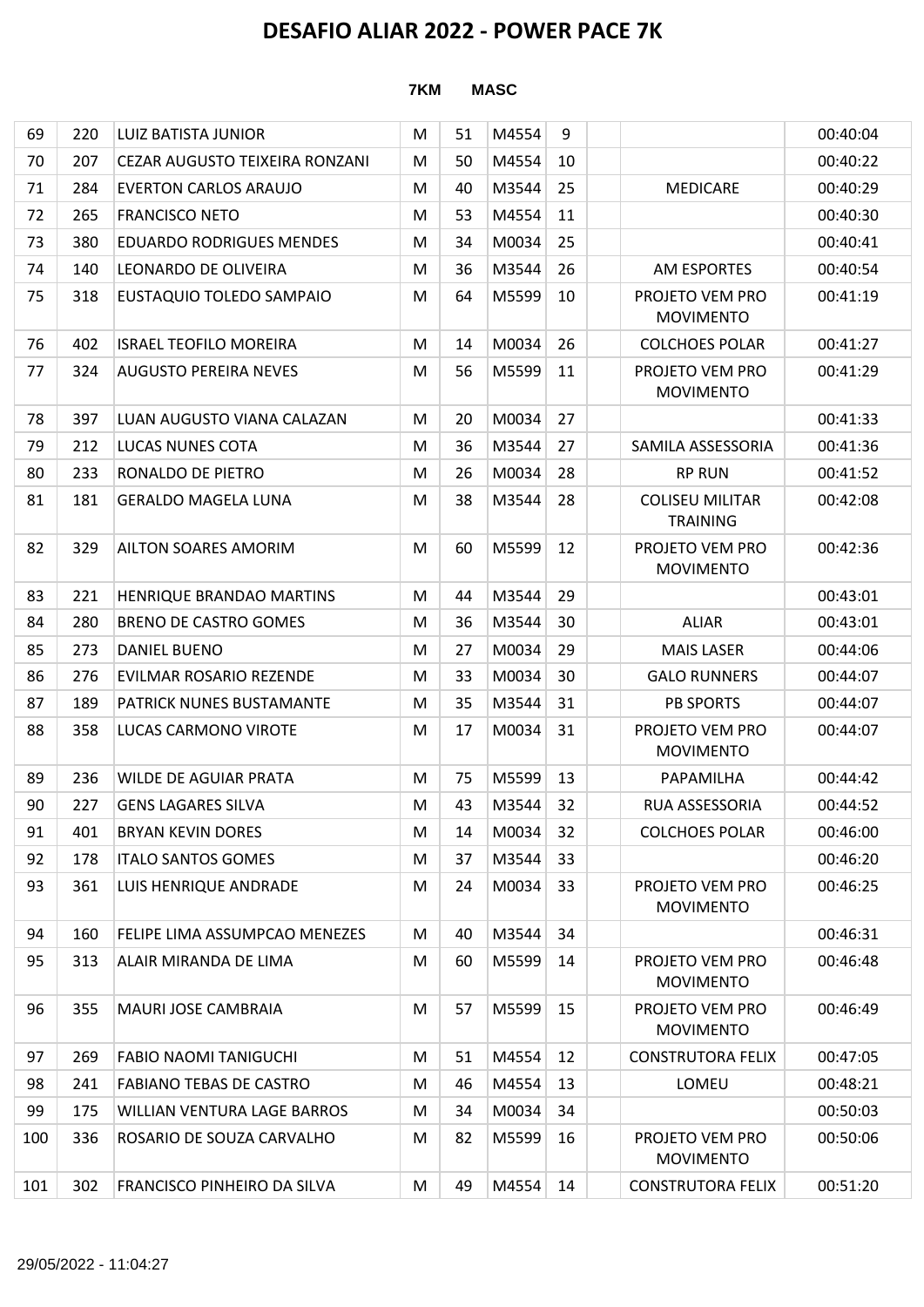| 69  | 220 | LUIZ BATISTA JUNIOR             | M | 51 | M4554 | 9  |                                           | 00:40:04 |
|-----|-----|---------------------------------|---|----|-------|----|-------------------------------------------|----------|
| 70  | 207 | CEZAR AUGUSTO TEIXEIRA RONZANI  | M | 50 | M4554 | 10 |                                           | 00:40:22 |
| 71  | 284 | <b>EVERTON CARLOS ARAUJO</b>    | M | 40 | M3544 | 25 | <b>MEDICARE</b>                           | 00:40:29 |
| 72  | 265 | <b>FRANCISCO NETO</b>           | M | 53 | M4554 | 11 |                                           | 00:40:30 |
| 73  | 380 | <b>EDUARDO RODRIGUES MENDES</b> | M | 34 | M0034 | 25 |                                           | 00:40:41 |
| 74  | 140 | LEONARDO DE OLIVEIRA            | M | 36 | M3544 | 26 | <b>AM ESPORTES</b>                        | 00:40:54 |
| 75  | 318 | EUSTAQUIO TOLEDO SAMPAIO        | M | 64 | M5599 | 10 | PROJETO VEM PRO<br><b>MOVIMENTO</b>       | 00:41:19 |
| 76  | 402 | <b>ISRAEL TEOFILO MOREIRA</b>   | M | 14 | M0034 | 26 | <b>COLCHOES POLAR</b>                     | 00:41:27 |
| 77  | 324 | <b>AUGUSTO PEREIRA NEVES</b>    | M | 56 | M5599 | 11 | PROJETO VEM PRO<br><b>MOVIMENTO</b>       | 00:41:29 |
| 78  | 397 | LUAN AUGUSTO VIANA CALAZAN      | M | 20 | M0034 | 27 |                                           | 00:41:33 |
| 79  | 212 | LUCAS NUNES COTA                | M | 36 | M3544 | 27 | SAMILA ASSESSORIA                         | 00:41:36 |
| 80  | 233 | RONALDO DE PIETRO               | M | 26 | M0034 | 28 | <b>RP RUN</b>                             | 00:41:52 |
| 81  | 181 | <b>GERALDO MAGELA LUNA</b>      | M | 38 | M3544 | 28 | <b>COLISEU MILITAR</b><br><b>TRAINING</b> | 00:42:08 |
| 82  | 329 | <b>AILTON SOARES AMORIM</b>     | M | 60 | M5599 | 12 | PROJETO VEM PRO<br><b>MOVIMENTO</b>       | 00:42:36 |
| 83  | 221 | HENRIQUE BRANDAO MARTINS        | M | 44 | M3544 | 29 |                                           | 00:43:01 |
| 84  | 280 | <b>BRENO DE CASTRO GOMES</b>    | M | 36 | M3544 | 30 | <b>ALIAR</b>                              | 00:43:01 |
| 85  | 273 | <b>DANIEL BUENO</b>             | M | 27 | M0034 | 29 | <b>MAIS LASER</b>                         | 00:44:06 |
| 86  | 276 | EVILMAR ROSARIO REZENDE         | M | 33 | M0034 | 30 | <b>GALO RUNNERS</b>                       | 00:44:07 |
| 87  | 189 | <b>PATRICK NUNES BUSTAMANTE</b> | M | 35 | M3544 | 31 | <b>PB SPORTS</b>                          | 00:44:07 |
| 88  | 358 | LUCAS CARMONO VIROTE            | M | 17 | M0034 | 31 | PROJETO VEM PRO<br><b>MOVIMENTO</b>       | 00:44:07 |
| 89  | 236 | WILDE DE AGUIAR PRATA           | M | 75 | M5599 | 13 | PAPAMILHA                                 | 00:44:42 |
| 90  | 227 | GENS LAGARES SILVA              | M | 43 | M3544 | 32 | <b>RUA ASSESSORIA</b>                     | 00:44:52 |
| 91  | 401 | <b>BRYAN KEVIN DORES</b>        | M | 14 | M0034 | 32 | <b>COLCHOES POLAR</b>                     | 00:46:00 |
| 92  | 178 | <b>ITALO SANTOS GOMES</b>       | M | 37 | M3544 | 33 |                                           | 00:46:20 |
| 93  | 361 | LUIS HENRIQUE ANDRADE           | M | 24 | M0034 | 33 | PROJETO VEM PRO<br><b>MOVIMENTO</b>       | 00:46:25 |
| 94  | 160 | FELIPE LIMA ASSUMPCAO MENEZES   | M | 40 | M3544 | 34 |                                           | 00:46:31 |
| 95  | 313 | ALAIR MIRANDA DE LIMA           | M | 60 | M5599 | 14 | PROJETO VEM PRO<br><b>MOVIMENTO</b>       | 00:46:48 |
| 96  | 355 | MAURI JOSE CAMBRAIA             | M | 57 | M5599 | 15 | PROJETO VEM PRO<br><b>MOVIMENTO</b>       | 00:46:49 |
| 97  | 269 | <b>FABIO NAOMI TANIGUCHI</b>    | M | 51 | M4554 | 12 | <b>CONSTRUTORA FELIX</b>                  | 00:47:05 |
| 98  | 241 | <b>FABIANO TEBAS DE CASTRO</b>  | M | 46 | M4554 | 13 | LOMEU                                     | 00:48:21 |
| 99  | 175 | WILLIAN VENTURA LAGE BARROS     | M | 34 | M0034 | 34 |                                           | 00:50:03 |
| 100 | 336 | ROSARIO DE SOUZA CARVALHO       | M | 82 | M5599 | 16 | PROJETO VEM PRO<br><b>MOVIMENTO</b>       | 00:50:06 |
| 101 | 302 | FRANCISCO PINHEIRO DA SILVA     | M | 49 | M4554 | 14 | <b>CONSTRUTORA FELIX</b>                  | 00:51:20 |